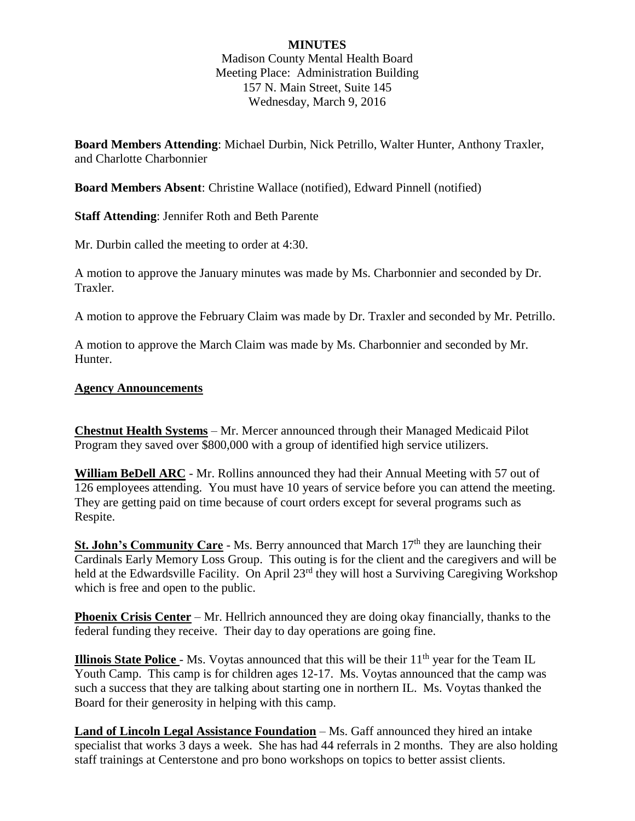## **MINUTES**

Madison County Mental Health Board Meeting Place: Administration Building 157 N. Main Street, Suite 145 Wednesday, March 9, 2016

**Board Members Attending**: Michael Durbin, Nick Petrillo, Walter Hunter, Anthony Traxler, and Charlotte Charbonnier

**Board Members Absent**: Christine Wallace (notified), Edward Pinnell (notified)

**Staff Attending**: Jennifer Roth and Beth Parente

Mr. Durbin called the meeting to order at 4:30.

A motion to approve the January minutes was made by Ms. Charbonnier and seconded by Dr. Traxler.

A motion to approve the February Claim was made by Dr. Traxler and seconded by Mr. Petrillo.

A motion to approve the March Claim was made by Ms. Charbonnier and seconded by Mr. Hunter.

#### **Agency Announcements**

**Chestnut Health Systems** – Mr. Mercer announced through their Managed Medicaid Pilot Program they saved over \$800,000 with a group of identified high service utilizers.

**William BeDell ARC** - Mr. Rollins announced they had their Annual Meeting with 57 out of 126 employees attending. You must have 10 years of service before you can attend the meeting. They are getting paid on time because of court orders except for several programs such as Respite.

**St. John's Community Care** - Ms. Berry announced that March 17<sup>th</sup> they are launching their Cardinals Early Memory Loss Group. This outing is for the client and the caregivers and will be held at the Edwardsville Facility. On April 23<sup>rd</sup> they will host a Surviving Caregiving Workshop which is free and open to the public.

**Phoenix Crisis Center** – Mr. Hellrich announced they are doing okay financially, thanks to the federal funding they receive. Their day to day operations are going fine.

**Illinois State Police** - Ms. Voytas announced that this will be their 11<sup>th</sup> year for the Team IL Youth Camp. This camp is for children ages 12-17. Ms. Voytas announced that the camp was such a success that they are talking about starting one in northern IL. Ms. Voytas thanked the Board for their generosity in helping with this camp.

**Land of Lincoln Legal Assistance Foundation** – Ms. Gaff announced they hired an intake specialist that works 3 days a week. She has had 44 referrals in 2 months. They are also holding staff trainings at Centerstone and pro bono workshops on topics to better assist clients.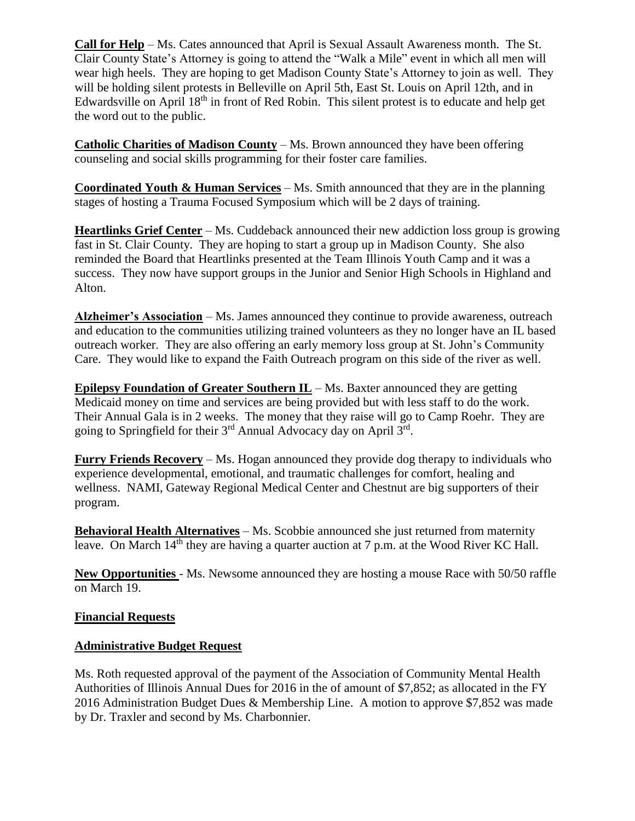**Call for Help** – Ms. Cates announced that April is Sexual Assault Awareness month. The St. Clair County State's Attorney is going to attend the "Walk a Mile" event in which all men will wear high heels. They are hoping to get Madison County State's Attorney to join as well. They will be holding silent protests in Belleville on April 5th, East St. Louis on April 12th, and in Edwardsville on April  $18<sup>th</sup>$  in front of Red Robin. This silent protest is to educate and help get the word out to the public.

**Catholic Charities of Madison County** – Ms. Brown announced they have been offering counseling and social skills programming for their foster care families.

**Coordinated Youth & Human Services** – Ms. Smith announced that they are in the planning stages of hosting a Trauma Focused Symposium which will be 2 days of training.

**Heartlinks Grief Center** – Ms. Cuddeback announced their new addiction loss group is growing fast in St. Clair County. They are hoping to start a group up in Madison County. She also reminded the Board that Heartlinks presented at the Team Illinois Youth Camp and it was a success. They now have support groups in the Junior and Senior High Schools in Highland and Alton.

**Alzheimer's Association** – Ms. James announced they continue to provide awareness, outreach and education to the communities utilizing trained volunteers as they no longer have an IL based outreach worker. They are also offering an early memory loss group at St. John's Community Care. They would like to expand the Faith Outreach program on this side of the river as well.

**Epilepsy Foundation of Greater Southern IL** – Ms. Baxter announced they are getting Medicaid money on time and services are being provided but with less staff to do the work. Their Annual Gala is in 2 weeks. The money that they raise will go to Camp Roehr. They are going to Springfield for their  $3<sup>rd</sup>$  Annual Advocacy day on April  $3<sup>rd</sup>$ .

**Furry Friends Recovery** – Ms. Hogan announced they provide dog therapy to individuals who experience developmental, emotional, and traumatic challenges for comfort, healing and wellness. NAMI, Gateway Regional Medical Center and Chestnut are big supporters of their program.

**Behavioral Health Alternatives** – Ms. Scobbie announced she just returned from maternity leave. On March 14<sup>th</sup> they are having a quarter auction at 7 p.m. at the Wood River KC Hall.

**New Opportunities** - Ms. Newsome announced they are hosting a mouse Race with 50/50 raffle on March 19.

### **Financial Requests**

### **Administrative Budget Request**

Ms. Roth requested approval of the payment of the Association of Community Mental Health Authorities of Illinois Annual Dues for 2016 in the of amount of \$7,852; as allocated in the FY 2016 Administration Budget Dues & Membership Line. A motion to approve \$7,852 was made by Dr. Traxler and second by Ms. Charbonnier.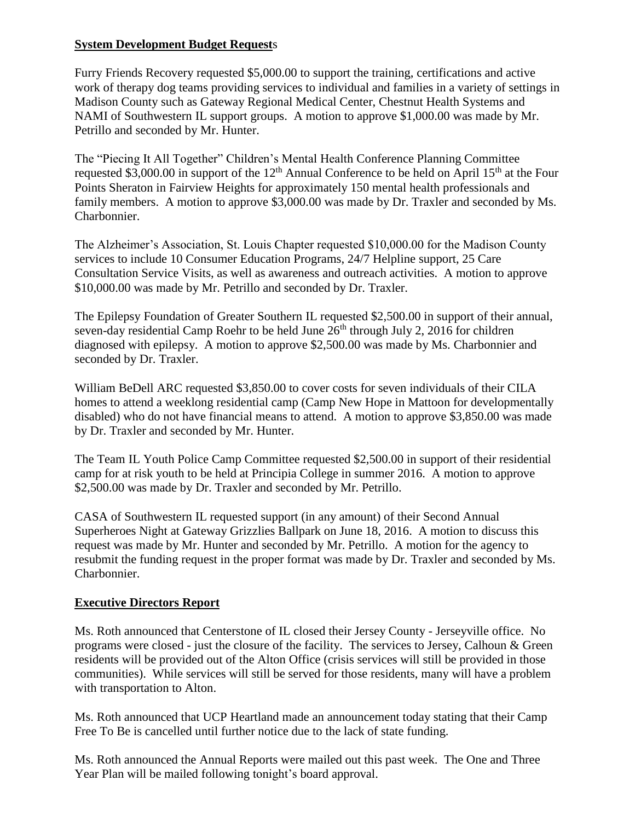#### **System Development Budget Request**s

Furry Friends Recovery requested \$5,000.00 to support the training, certifications and active work of therapy dog teams providing services to individual and families in a variety of settings in Madison County such as Gateway Regional Medical Center, Chestnut Health Systems and NAMI of Southwestern IL support groups. A motion to approve \$1,000.00 was made by Mr. Petrillo and seconded by Mr. Hunter.

The "Piecing It All Together" Children's Mental Health Conference Planning Committee requested \$3,000.00 in support of the 12<sup>th</sup> Annual Conference to be held on April 15<sup>th</sup> at the Four Points Sheraton in Fairview Heights for approximately 150 mental health professionals and family members. A motion to approve \$3,000.00 was made by Dr. Traxler and seconded by Ms. Charbonnier.

The Alzheimer's Association, St. Louis Chapter requested \$10,000.00 for the Madison County services to include 10 Consumer Education Programs, 24/7 Helpline support, 25 Care Consultation Service Visits, as well as awareness and outreach activities. A motion to approve \$10,000.00 was made by Mr. Petrillo and seconded by Dr. Traxler.

The Epilepsy Foundation of Greater Southern IL requested \$2,500.00 in support of their annual, seven-day residential Camp Roehr to be held June  $26<sup>th</sup>$  through July 2, 2016 for children diagnosed with epilepsy. A motion to approve \$2,500.00 was made by Ms. Charbonnier and seconded by Dr. Traxler.

William BeDell ARC requested \$3,850.00 to cover costs for seven individuals of their CILA homes to attend a weeklong residential camp (Camp New Hope in Mattoon for developmentally disabled) who do not have financial means to attend. A motion to approve \$3,850.00 was made by Dr. Traxler and seconded by Mr. Hunter.

The Team IL Youth Police Camp Committee requested \$2,500.00 in support of their residential camp for at risk youth to be held at Principia College in summer 2016. A motion to approve \$2,500.00 was made by Dr. Traxler and seconded by Mr. Petrillo.

CASA of Southwestern IL requested support (in any amount) of their Second Annual Superheroes Night at Gateway Grizzlies Ballpark on June 18, 2016. A motion to discuss this request was made by Mr. Hunter and seconded by Mr. Petrillo. A motion for the agency to resubmit the funding request in the proper format was made by Dr. Traxler and seconded by Ms. Charbonnier.

# **Executive Directors Report**

Ms. Roth announced that Centerstone of IL closed their Jersey County - Jerseyville office. No programs were closed - just the closure of the facility. The services to Jersey, Calhoun & Green residents will be provided out of the Alton Office (crisis services will still be provided in those communities). While services will still be served for those residents, many will have a problem with transportation to Alton.

Ms. Roth announced that UCP Heartland made an announcement today stating that their Camp Free To Be is cancelled until further notice due to the lack of state funding.

Ms. Roth announced the Annual Reports were mailed out this past week. The One and Three Year Plan will be mailed following tonight's board approval.